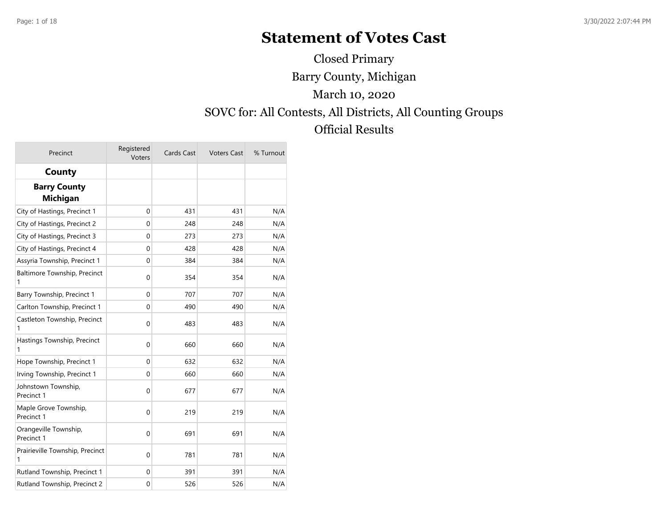# **Statement of Votes Cast**

Barry County, Michigan SOVC for: All Contests, All Districts, All Counting Groups Official Results March 10, 2020 Closed Primary

| Precinct                               | Registered<br>Voters | Cards Cast | <b>Voters Cast</b> | % Turnout |
|----------------------------------------|----------------------|------------|--------------------|-----------|
| County                                 |                      |            |                    |           |
| <b>Barry County</b><br><b>Michigan</b> |                      |            |                    |           |
| City of Hastings, Precinct 1           | 0                    | 431        | 431                | N/A       |
| City of Hastings, Precinct 2           | 0                    | 248        | 248                | N/A       |
| City of Hastings, Precinct 3           | $\mathbf 0$          | 273        | 273                | N/A       |
| City of Hastings, Precinct 4           | $\Omega$             | 428        | 428                | N/A       |
| Assyria Township, Precinct 1           | 0                    | 384        | 384                | N/A       |
| Baltimore Township, Precinct<br>1      | 0                    | 354        | 354                | N/A       |
| Barry Township, Precinct 1             | $\mathbf 0$          | 707        | 707                | N/A       |
| Carlton Township, Precinct 1           | 0                    | 490        | 490                | N/A       |
| Castleton Township, Precinct<br>1      | 0                    | 483        | 483                | N/A       |
| Hastings Township, Precinct<br>1       | $\mathbf 0$          | 660        | 660                | N/A       |
| Hope Township, Precinct 1              | 0                    | 632        | 632                | N/A       |
| Irving Township, Precinct 1            | 0                    | 660        | 660                | N/A       |
| Johnstown Township,<br>Precinct 1      | $\mathbf 0$          | 677        | 677                | N/A       |
| Maple Grove Township,<br>Precinct 1    | $\boldsymbol{0}$     | 219        | 219                | N/A       |
| Orangeville Township,<br>Precinct 1    | $\mathbf 0$          | 691        | 691                | N/A       |
| Prairieville Township, Precinct<br>1   | 0                    | 781        | 781                | N/A       |
| Rutland Township, Precinct 1           | $\mathbf 0$          | 391        | 391                | N/A       |
| Rutland Township, Precinct 2           | $\mathbf 0$          | 526        | 526                | N/A       |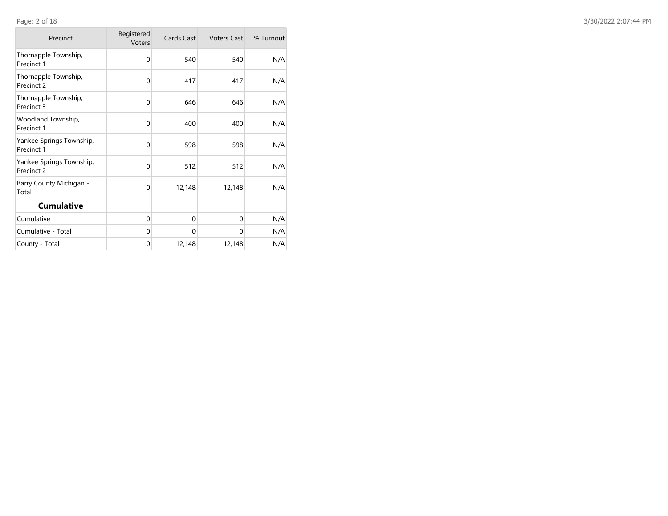| Precinct                               | Registered<br><b>Voters</b> | Cards Cast | <b>Voters Cast</b> | % Turnout |
|----------------------------------------|-----------------------------|------------|--------------------|-----------|
| Thornapple Township,<br>Precinct 1     | $\Omega$                    | 540        | 540                | N/A       |
| Thornapple Township,<br>Precinct 2     | $\mathbf 0$                 | 417        | 417                | N/A       |
| Thornapple Township,<br>Precinct 3     | 0                           | 646        | 646                | N/A       |
| Woodland Township,<br>Precinct 1       | $\Omega$                    | 400        | 400                | N/A       |
| Yankee Springs Township,<br>Precinct 1 | $\Omega$                    | 598        | 598                | N/A       |
| Yankee Springs Township,<br>Precinct 2 | $\Omega$                    | 512        | 512                | N/A       |
| Barry County Michigan -<br>Total       | $\mathbf 0$                 | 12,148     | 12,148             | N/A       |
| <b>Cumulative</b>                      |                             |            |                    |           |
| Cumulative                             | 0                           | 0          | 0                  | N/A       |
| Cumulative - Total                     | $\Omega$                    | 0          | 0                  | N/A       |
| County - Total                         | 0                           | 12,148     | 12,148             | N/A       |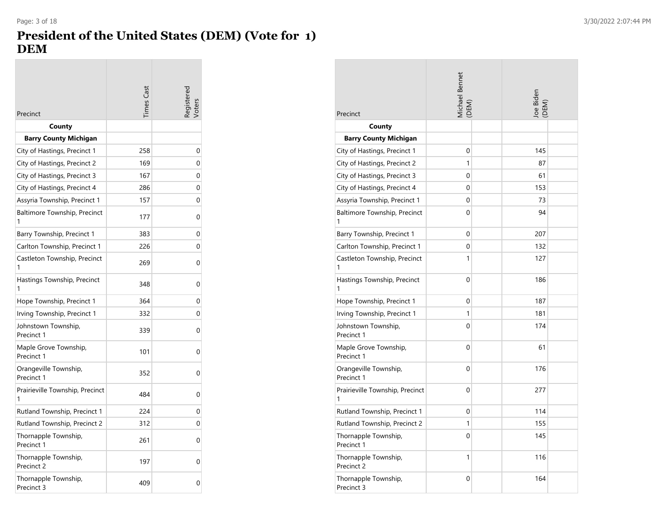### **President of the United States (DEM) (Vote for 1) DEM**

| Precinct                             | imes Cas | egistere |
|--------------------------------------|----------|----------|
| County                               |          |          |
| <b>Barry County Michigan</b>         |          |          |
| City of Hastings, Precinct 1         | 258      | 0        |
| City of Hastings, Precinct 2         | 169      | 0        |
| City of Hastings, Precinct 3         | 167      | 0        |
| City of Hastings, Precinct 4         | 286      | 0        |
| Assyria Township, Precinct 1         | 157      | 0        |
| Baltimore Township, Precinct         | 177      | 0        |
| Barry Township, Precinct 1           | 383      | 0        |
| Carlton Township, Precinct 1         | 226      | 0        |
| Castleton Township, Precinct<br>1    | 269      | 0        |
| Hastings Township, Precinct          | 348      | 0        |
| Hope Township, Precinct 1            | 364      | 0        |
| Irving Township, Precinct 1          | 332      | 0        |
| Johnstown Township,<br>Precinct 1    | 339      | 0        |
| Maple Grove Township,<br>Precinct 1  | 101      | 0        |
| Orangeville Township,<br>Precinct 1  | 352      | 0        |
| Prairieville Township, Precinct<br>1 | 484      | 0        |
| Rutland Township, Precinct 1         | 224      | 0        |
| Rutland Township, Precinct 2         | 312      | 0        |
| Thornapple Township,<br>Precinct 1   | 261      | 0        |
| Thornapple Township,<br>Precinct 2   | 197      | 0        |
| Thornapple Township,<br>Precinct 3   | 409      | 0        |

| Precinct                             | Michael Bennet<br>(DEM) | Joe Biden<br>(DEM) |
|--------------------------------------|-------------------------|--------------------|
| County                               |                         |                    |
| <b>Barry County Michigan</b>         |                         |                    |
| City of Hastings, Precinct 1         | $\Omega$                | 145                |
| City of Hastings, Precinct 2         | 1                       | 87                 |
| City of Hastings, Precinct 3         | $\mathbf{0}$            | 61                 |
| City of Hastings, Precinct 4         | 0                       | 153                |
| Assyria Township, Precinct 1         | $\Omega$                | 73                 |
| Baltimore Township, Precinct<br>1    | 0                       | 94                 |
| Barry Township, Precinct 1           | 0                       | 207                |
| Carlton Township, Precinct 1         | 0                       | 132                |
| Castleton Township, Precinct<br>1    | 1                       | 127                |
| Hastings Township, Precinct<br>1     | 0                       | 186                |
| Hope Township, Precinct 1            | 0                       | 187                |
| Irving Township, Precinct 1          | 1                       | 181                |
| Johnstown Township,<br>Precinct 1    | 0                       | 174                |
| Maple Grove Township,<br>Precinct 1  | $\Omega$                | 61                 |
| Orangeville Township,<br>Precinct 1  | 0                       | 176                |
| Prairieville Township, Precinct<br>1 | 0                       | 277                |
| Rutland Township, Precinct 1         | $\Omega$                | 114                |
| Rutland Township, Precinct 2         | 1                       | 155                |
| Thornapple Township,<br>Precinct 1   | 0                       | 145                |
| Thornapple Township,<br>Precinct 2   | 1                       | 116                |
| Thornapple Township,<br>Precinct 3   | 0                       | 164                |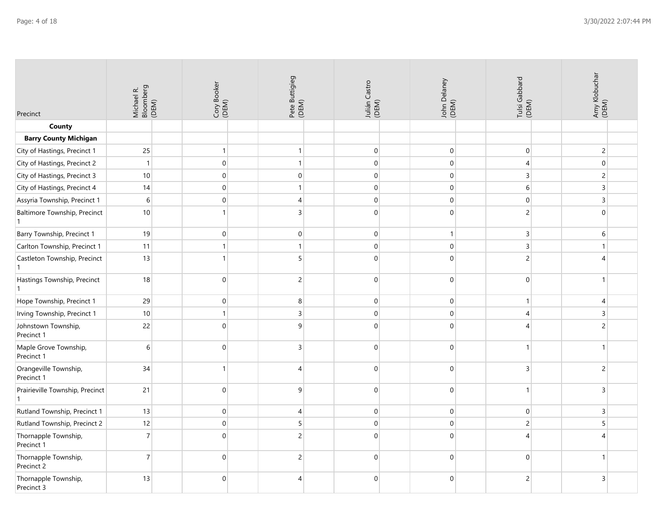| Precinct                             | Michael R.<br>Bloomberg<br>(DEM) | Cory Booker<br>(DEM) | Pete Buttigieg<br>(DEM) | Julián Castro<br>(DEM) | John Delaney<br>(DEM) | Tulsi Gabbard<br>(DEM) | Amy Klobuchar<br>(DEM) |
|--------------------------------------|----------------------------------|----------------------|-------------------------|------------------------|-----------------------|------------------------|------------------------|
| County                               |                                  |                      |                         |                        |                       |                        |                        |
| <b>Barry County Michigan</b>         |                                  |                      |                         |                        |                       |                        |                        |
| City of Hastings, Precinct 1         | 25                               | $\mathbf{1}$         | $\mathbf{1}$            | $\pmb{0}$              | $\mathbf 0$           | $\boldsymbol{0}$       | $\sqrt{2}$             |
| City of Hastings, Precinct 2         | $\overline{1}$                   | $\boldsymbol{0}$     | $\mathbf{1}$            | $\pmb{0}$              | $\pmb{0}$             | $\overline{4}$         | $\mathbf 0$            |
| City of Hastings, Precinct 3         | 10                               | $\overline{0}$       | $\mathbf 0$             | $\mathbf 0$            | $\mathbf 0$           | 3                      | $\overline{c}$         |
| City of Hastings, Precinct 4         | 14                               | $\overline{0}$       | $\mathbf{1}$            | $\pmb{0}$              | $\mathbf 0$           | 6                      | 3                      |
| Assyria Township, Precinct 1         | 6                                | $\overline{0}$       | $\overline{4}$          | $\mathbf{0}$           | $\mathbf 0$           | 0                      | 3                      |
| Baltimore Township, Precinct         | $10\,$                           |                      | 3                       | $\pmb{0}$              | $\mathbf 0$           | $\overline{c}$         | $\mathbf 0$            |
| Barry Township, Precinct 1           | 19                               | $\boldsymbol{0}$     | $\mathbf 0$             | $\mathbf 0$            | $\mathbf{1}$          | $\mathsf 3$            | 6                      |
| Carlton Township, Precinct 1         | 11                               | $\mathbf{1}$         | $\mathbf{1}$            | $\pmb{0}$              | $\mathbf 0$           | 3                      | $\mathbf{1}$           |
| Castleton Township, Precinct         | 13                               | $\mathbf{1}$         | 5 <sup>1</sup>          | $\mathbf{0}$           | $\mathbf 0$           | $\overline{c}$         | 4                      |
| Hastings Township, Precinct          | 18                               | $\mathbf 0$          | $\overline{c}$          | $\mathbf 0$            | $\pmb{0}$             | $\mathbf 0$            | $\mathbf{1}$           |
| Hope Township, Precinct 1            | 29                               | $\boldsymbol{0}$     | $\bf 8$                 | $\mathbf 0$            | $\mathbf 0$           | $\mathbf{1}$           | 4                      |
| Irving Township, Precinct 1          | $10\,$                           | $\mathbf{1}$         | $\overline{3}$          | $\mathbf 0$            | $\pmb{0}$             | 4                      | 3                      |
| Johnstown Township,<br>Precinct 1    | 22                               | $\Omega$             | 9                       | $\Omega$               | $\mathbf 0$           | 4                      | 2                      |
| Maple Grove Township,<br>Precinct 1  | 6                                | $\mathbf 0$          | $\overline{3}$          | $\mathbf 0$            | $\mathbf 0$           | $\mathbf{1}$           | $\mathbf{1}$           |
| Orangeville Township,<br>Precinct 1  | 34                               | $\mathbf{1}$         | 4                       | $\pmb{0}$              | $\mathbf 0$           | 3                      | 2                      |
| Prairieville Township, Precinct<br>1 | 21                               | $\overline{0}$       | $\overline{9}$          | $\mathbf{0}$           | $\mathbf 0$           | $\mathbf{1}$           | $\overline{3}$         |
| Rutland Township, Precinct 1         | 13                               | $\overline{0}$       | 4                       | $\mathbf 0$            | $\mathbf 0$           | $\overline{0}$         | 3                      |
| Rutland Township, Precinct 2         | 12                               | $\overline{0}$       | 5                       | $\pmb{0}$              | $\mathbf 0$           | $\overline{c}$         | 5                      |
| Thornapple Township,<br>Precinct 1   | $\overline{7}$                   | $\Omega$             | $\overline{2}$          | $\Omega$               | $\mathbf 0$           | Δ                      | ⊿                      |
| Thornapple Township,<br>Precinct 2   | $\overline{7}$                   | $\Omega$             | $\overline{2}$          | $\mathbf 0$            | $\pmb{0}$             | 0                      | $\mathbf{1}$           |
| Thornapple Township,<br>Precinct 3   | 13                               | $\Omega$             | 4                       | $\mathbf 0$            | $\mathbf{0}$          | $\overline{c}$         | 3                      |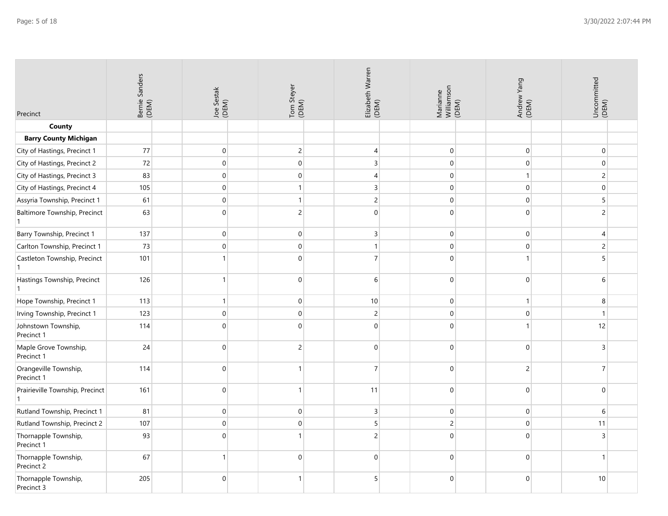| Precinct                                     | Bernie Sanders<br>(DEM) | Joe Sestak<br>(DEM) | Tom Steyer<br>(DEM) | Elizabeth Warren<br>(DEM) | Marianne<br>Williamson<br>(DEM) | Andrew Yang<br>(DEM) | Uncommitted<br>(DEM) |
|----------------------------------------------|-------------------------|---------------------|---------------------|---------------------------|---------------------------------|----------------------|----------------------|
| County                                       |                         |                     |                     |                           |                                 |                      |                      |
| <b>Barry County Michigan</b>                 |                         |                     |                     |                           |                                 |                      |                      |
| City of Hastings, Precinct 1                 | 77                      | $\pmb{0}$           | $\overline{2}$      | 4                         | $\mathbf 0$                     | $\pmb{0}$            | $\mathbf 0$          |
| City of Hastings, Precinct 2                 | 72                      | $\boldsymbol{0}$    | $\overline{0}$      | $\mathsf 3$               | $\mathbf 0$                     | $\mathbf 0$          | $\overline{0}$       |
| City of Hastings, Precinct 3                 | 83                      | $\overline{0}$      | $\overline{0}$      | $\overline{4}$            | $\mathbf 0$                     | $\mathbf{1}$         | $2 \mid$             |
| City of Hastings, Precinct 4                 | 105                     | $\overline{0}$      | $\mathbf{1}$        | $\overline{3}$            | $\,0\,$                         | $\boldsymbol{0}$     | $\overline{0}$       |
| Assyria Township, Precinct 1                 | 61                      | $\overline{0}$      | $\mathbf{1}$        | $\overline{c}$            | $\boldsymbol{0}$                | $\mathbf 0$          | 5                    |
| Baltimore Township, Precinct<br>$\mathbf{1}$ | 63                      | $\Omega$            | $\overline{2}$      | $\mathbf{0}$              | $\pmb{0}$                       | $\Omega$             | $\overline{c}$       |
| Barry Township, Precinct 1                   | 137                     | $\overline{0}$      | $\overline{0}$      | $\overline{3}$            | $\mathbf 0$                     | $\mathbf 0$          | $\overline{4}$       |
| Carlton Township, Precinct 1                 | 73                      | $\boldsymbol{0}$    | $\boldsymbol{0}$    | $\mathbf{1}$              | $\,0\,$                         | $\pmb{0}$            | $\overline{c}$       |
| Castleton Township, Precinct<br>$\mathbf{1}$ | 101                     | $\mathbf{1}$        | $\boldsymbol{0}$    | $\overline{7}$            | $\pmb{0}$                       |                      | 5                    |
| Hastings Township, Precinct                  | 126                     |                     | $\boldsymbol{0}$    | 6                         | $\mathbf 0$                     | $\mathbf 0$          | 6                    |
| Hope Township, Precinct 1                    | 113                     | $\mathbf{1}$        | $\boldsymbol{0}$    | 10                        | $\mathbf 0$                     | $\mathbf{1}$         | 8                    |
| Irving Township, Precinct 1                  | 123                     | $\pmb{0}$           | $\overline{0}$      | $\overline{c}$            | $\boldsymbol{0}$                | 0                    | $\mathbf{1}$         |
| Johnstown Township,<br>Precinct 1            | 114                     | $\mathbf{0}$        | $\overline{0}$      | $\mathbf 0$               | $\mathbf 0$                     |                      | 12                   |
| Maple Grove Township,<br>Precinct 1          | 24                      | $\mathbf{0}$        | $\overline{2}$      | $\mathbf 0$               | $\mathbf 0$                     | $\mathbf 0$          | $\overline{3}$       |
| Orangeville Township,<br>Precinct 1          | 114                     | $\overline{0}$      | 1                   | $\overline{7}$            | $\mathbf 0$                     | $\overline{c}$       | $\overline{7}$       |
| Prairieville Township, Precinct<br>1         | 161                     | $\mathbf{0}$        | 1                   | 11                        | $\mathbf 0$                     | $\mathbf 0$          | $\mathbf{0}$         |
| Rutland Township, Precinct 1                 | 81                      | $\overline{0}$      | $\boldsymbol{0}$    | $\mathsf{3}$              | $\mathbf 0$                     | $\pmb{0}$            | 6                    |
| Rutland Township, Precinct 2                 | 107                     | $\overline{0}$      | $\overline{0}$      | 5                         | $\overline{c}$                  | $\mathbf 0$          | 11                   |
| Thornapple Township,<br>Precinct 1           | 93                      | $\mathbf{0}$        | 1                   | $\overline{c}$            | $\boldsymbol{0}$                | $\Omega$             | 3                    |
| Thornapple Township,<br>Precinct 2           | 67                      | $\mathbf{1}$        | $\overline{0}$      | $\mathbf 0$               | $\mathbf 0$                     | $\mathbf 0$          | $\mathbf{1}$         |
| Thornapple Township,<br>Precinct 3           | 205                     | $\mathbf{0}$        | $\mathbf{1}$        | 5                         | $\mathbf 0$                     | $\mathbf 0$          | 10                   |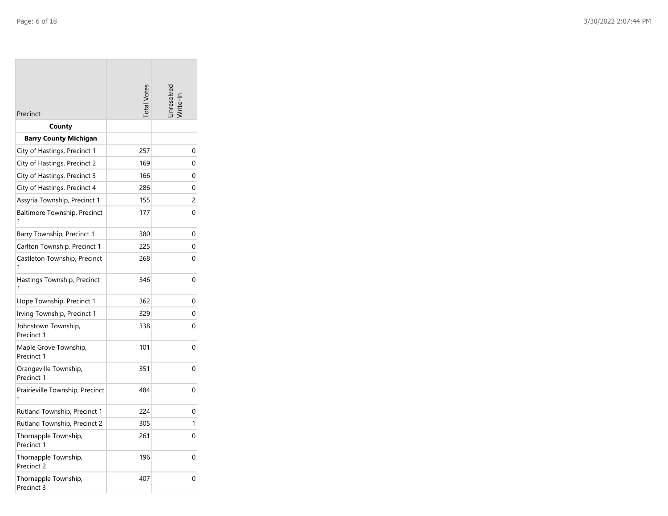| Precinct                             | <b>Total Vote:</b> | nresolve |
|--------------------------------------|--------------------|----------|
| County                               |                    |          |
| <b>Barry County Michigan</b>         |                    |          |
| City of Hastings, Precinct 1         | 257                | 0        |
| City of Hastings, Precinct 2         | 169                | 0        |
| City of Hastings, Precinct 3         | 166                | 0        |
| City of Hastings, Precinct 4         | 286                | 0        |
| Assyria Township, Precinct 1         | 155                | 2        |
| Baltimore Township, Precinct<br>1    | 177                | 0        |
| Barry Township, Precinct 1           | 380                | 0        |
| Carlton Township, Precinct 1         | 225                | 0        |
| Castleton Township, Precinct<br>1    | 268                | 0        |
| Hastings Township, Precinct<br>1     | 346                | 0        |
| Hope Township, Precinct 1            | 362                | 0        |
| Irving Township, Precinct 1          | 329                | 0        |
| Johnstown Township,<br>Precinct 1    | 338                | 0        |
| Maple Grove Township,<br>Precinct 1  | 101                | 0        |
| Orangeville Township,<br>Precinct 1  | 351                | 0        |
| Prairieville Township, Precinct<br>1 | 484                | 0        |
| Rutland Township, Precinct 1         | 224                | 0        |
| Rutland Township, Precinct 2         | 305                | 1        |
| Thornapple Township,<br>Precinct 1   | 261                | 0        |
| Thornapple Township,<br>Precinct 2   | 196                | 0        |
| Thornapple Township,<br>Precinct 3   | 407                | 0        |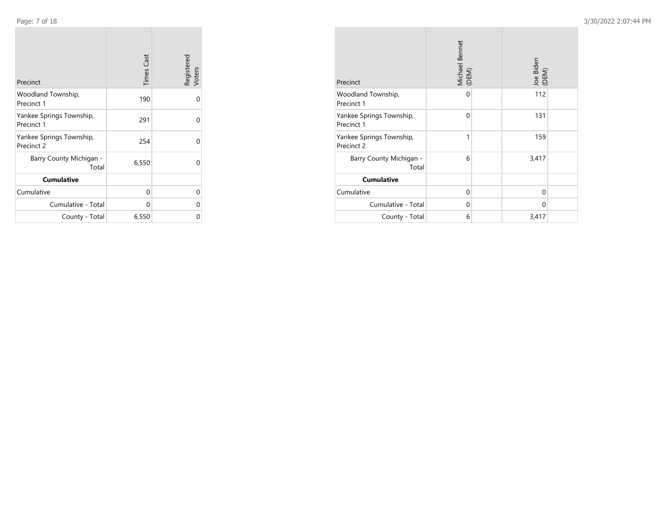**Contract** 

| Precinct                               | <b>Times Cast</b> | Registered<br>Voters |
|----------------------------------------|-------------------|----------------------|
| Woodland Township,<br>Precinct 1       | 190               | 0                    |
| Yankee Springs Township,<br>Precinct 1 | 291               | 0                    |
| Yankee Springs Township,<br>Precinct 2 | 254               | $\Omega$             |
| Barry County Michigan -<br>Total       | 6,550             | $\Omega$             |
| <b>Cumulative</b>                      |                   |                      |
| Cumulative                             | 0                 | 0                    |
| Cumulative - Total                     | 0                 | 0                    |
| County - Total                         | 6,550             | 0                    |

| Precinct                               | Michael Bennet<br>(DEM) | Joe Biden<br>(DEM) |
|----------------------------------------|-------------------------|--------------------|
| Woodland Township,<br>Precinct 1       | 0                       | 112                |
| Yankee Springs Township,<br>Precinct 1 | $\mathbf 0$             | 131                |
| Yankee Springs Township,<br>Precinct 2 | $\mathbf{1}$            | 159                |
| Barry County Michigan -<br>Total       | 6                       | 3,417              |
| <b>Cumulative</b>                      |                         |                    |
| Cumulative                             | 0                       | 0                  |
| Cumulative - Total                     | $\Omega$                | 0                  |
| County - Total                         | 6                       | 3,417              |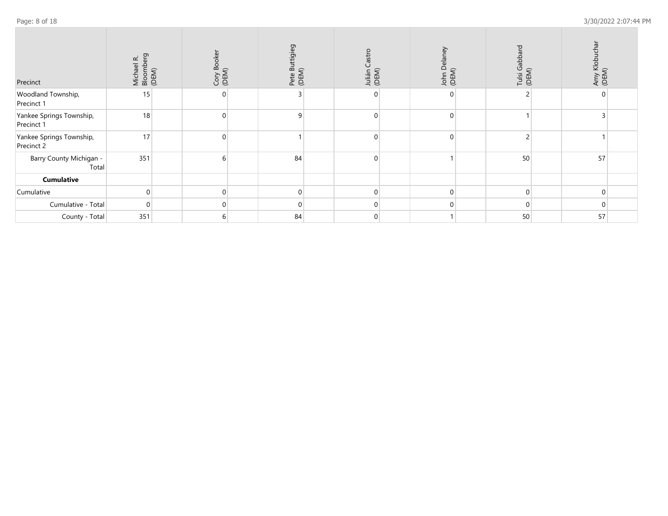| Page: 8 of 18 |  |  |  |  |
|---------------|--|--|--|--|
|---------------|--|--|--|--|

| Precinct                               | Michael R.<br>Bloomberg<br>(DEM) | Cory Booker<br>(DEM) | Pete Buttigieg<br>(DEM) | Castro<br>Julián<br>(DEM) | John Delaney<br>(DEM) | Tulsi Gabbard<br>(DEM) | Amy Klobuchar<br>(DEM) |  |
|----------------------------------------|----------------------------------|----------------------|-------------------------|---------------------------|-----------------------|------------------------|------------------------|--|
| Woodland Township,<br>Precinct 1       | 15                               | 0                    |                         |                           |                       |                        |                        |  |
| Yankee Springs Township,<br>Precinct 1 | 18                               | $\Omega$             | 9                       |                           | U                     |                        |                        |  |
| Yankee Springs Township,<br>Precinct 2 | 17                               | $\Omega$             |                         | U                         | $\Omega$              |                        |                        |  |
| Barry County Michigan -<br>Total       | 351                              | $6 \mid$             | 84                      | ∩                         |                       | 50                     | 57                     |  |
| Cumulative                             |                                  |                      |                         |                           |                       |                        |                        |  |
| Cumulative                             |                                  | 0                    | $\mathbf 0$             |                           | $\Omega$              |                        |                        |  |
| Cumulative - Total                     | $\cap$                           | $\Omega$             | $\mathbf{0}$            | 0                         | $\Omega$              | $\Omega$               |                        |  |
| County - Total                         | 351                              | 6                    | 84                      | 0                         |                       | 50                     | 57                     |  |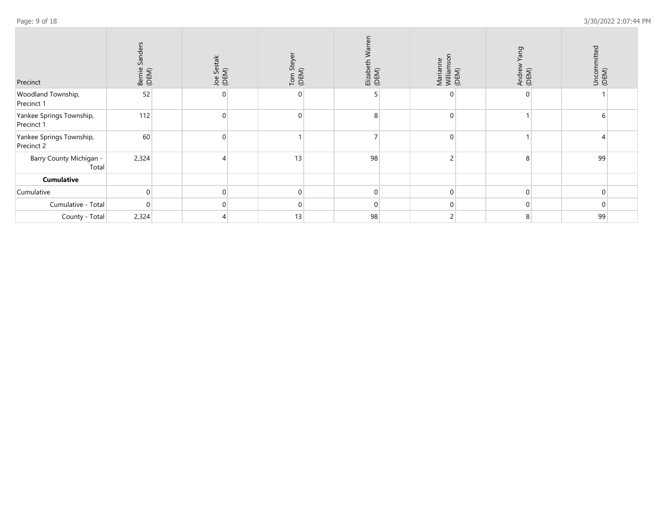| Precinct                               | Sanders<br>Bernie<br>(DEM) | Joe Sestak<br>(DEM) | Tom Ste<br>(DEM) | Elizabeth<br>(DEM) | Marianne<br>Williamson<br>(DEM) | Andrew Yang<br>(DEM) | Uncommitted<br>(DEM) |  |
|----------------------------------------|----------------------------|---------------------|------------------|--------------------|---------------------------------|----------------------|----------------------|--|
| Woodland Township,<br>Precinct 1       | 52                         | $\Omega$            | $\Omega$         |                    | 0                               |                      |                      |  |
| Yankee Springs Township,<br>Precinct 1 | 112                        | $\Omega$            | $\Omega$         |                    | 0                               |                      |                      |  |
| Yankee Springs Township,<br>Precinct 2 | 60                         | $\Omega$            |                  |                    | $\Omega$                        |                      |                      |  |
| Barry County Michigan -<br>Total       | 2,324                      | Δ                   | 13               | 98                 | 2                               | 8                    | 99                   |  |
| <b>Cumulative</b>                      |                            |                     |                  |                    |                                 |                      |                      |  |
| Cumulative                             |                            | $\overline{0}$      | $\mathbf 0$      |                    | $\mathbf 0$                     | $\mathbf 0$          |                      |  |
| Cumulative - Total                     | $\cap$                     | $\Omega$            | $\Omega$         |                    | $\Omega$                        | $\mathbf{0}$         |                      |  |
| County - Total                         | 2,324                      |                     | 13               | 98                 | 2                               | 8                    | 99                   |  |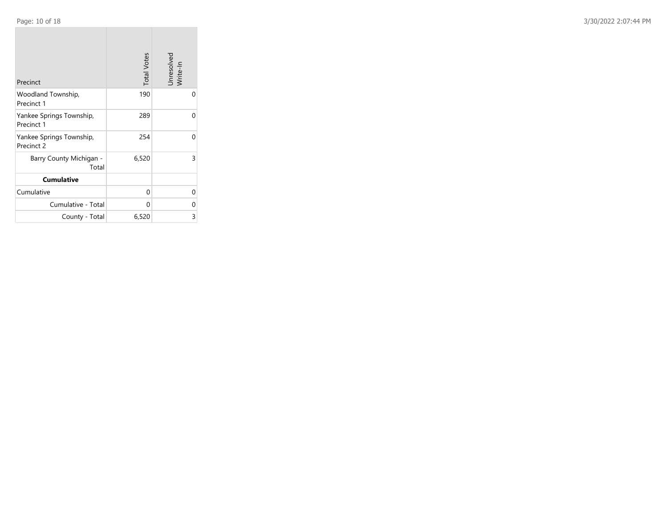**COL** 

| Precinct                               | <b>Total Votes</b> | Unresolved<br>Write-In |
|----------------------------------------|--------------------|------------------------|
| Woodland Township,<br>Precinct 1       | 190                | 0                      |
| Yankee Springs Township,<br>Precinct 1 | 289                | $\Omega$               |
| Yankee Springs Township,<br>Precinct 2 | 254                | 0                      |
| Barry County Michigan -<br>Total       | 6,520              | 3                      |
| <b>Cumulative</b>                      |                    |                        |
| Cumulative                             | 0                  | 0                      |
| Cumulative - Total                     | 0                  | 0                      |
| County - Total                         | 6,520              | 3                      |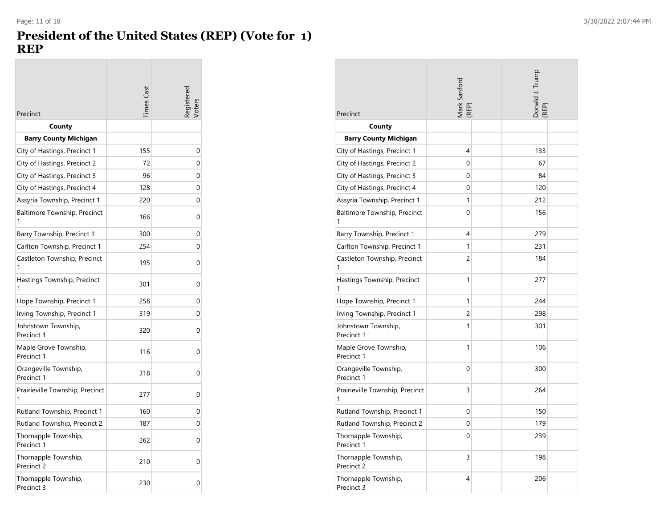### **President of the United States (REP) (Vote for 1) REP**

| Precinct                             | imes Cas | egistere |
|--------------------------------------|----------|----------|
| County                               |          |          |
| <b>Barry County Michigan</b>         |          |          |
| City of Hastings, Precinct 1         | 155      | 0        |
| City of Hastings, Precinct 2         | 72       | 0        |
| City of Hastings, Precinct 3         | 96       | 0        |
| City of Hastings, Precinct 4         | 128      | 0        |
| Assyria Township, Precinct 1         | 220      | 0        |
| Baltimore Township, Precinct         | 166      | 0        |
| Barry Township, Precinct 1           | 300      | 0        |
| Carlton Township, Precinct 1         | 254      | 0        |
| Castleton Township, Precinct<br>1    | 195      | 0        |
| Hastings Township, Precinct          | 301      | 0        |
| Hope Township, Precinct 1            | 258      | 0        |
| Irving Township, Precinct 1          | 319      | 0        |
| Johnstown Township,<br>Precinct 1    | 320      | 0        |
| Maple Grove Township,<br>Precinct 1  | 116      | 0        |
| Orangeville Township,<br>Precinct 1  | 318      | 0        |
| Prairieville Township, Precinct<br>1 | 277      | 0        |
| Rutland Township, Precinct 1         | 160      | 0        |
| Rutland Township, Precinct 2         | 187      | 0        |
| Thornapple Township,<br>Precinct 1   | 262      | 0        |
| Thornapple Township,<br>Precinct 2   | 210      | 0        |
| Thornapple Township,<br>Precinct 3   | 230      | 0        |

| Precinct                             | Mark Sanford<br>(REP) |  | Donald J. Trump<br>(REP) |  |
|--------------------------------------|-----------------------|--|--------------------------|--|
| County                               |                       |  |                          |  |
| <b>Barry County Michigan</b>         |                       |  |                          |  |
| City of Hastings, Precinct 1         | 4                     |  | 133                      |  |
| City of Hastings, Precinct 2         | 0                     |  | 67                       |  |
| City of Hastings, Precinct 3         | 0                     |  | 84                       |  |
| City of Hastings, Precinct 4         | 0                     |  | 120                      |  |
| Assyria Township, Precinct 1         | 1                     |  | 212                      |  |
| Baltimore Township, Precinct<br>1    | 0                     |  | 156                      |  |
| Barry Township, Precinct 1           | 4                     |  | 279                      |  |
| Carlton Township, Precinct 1         | 1                     |  | 231                      |  |
| Castleton Township, Precinct<br>1    | 2                     |  | 184                      |  |
| Hastings Township, Precinct<br>1     | 1                     |  | 277                      |  |
| Hope Township, Precinct 1            | 1                     |  | 244                      |  |
| Irving Township, Precinct 1          | $\overline{c}$        |  | 298                      |  |
| Johnstown Township,<br>Precinct 1    | 1                     |  | 301                      |  |
| Maple Grove Township,<br>Precinct 1  | 1                     |  | 106                      |  |
| Orangeville Township,<br>Precinct 1  | 0                     |  | 300                      |  |
| Prairieville Township, Precinct<br>1 | 3                     |  | 264                      |  |
| Rutland Township, Precinct 1         | 0                     |  | 150                      |  |
| Rutland Township, Precinct 2         | 0                     |  | 179                      |  |
| Thornapple Township,<br>Precinct 1   | 0                     |  | 239                      |  |
| Thornapple Township,<br>Precinct 2   | 3                     |  | 198                      |  |
| Thornapple Township,<br>Precinct 3   | 4                     |  | 206                      |  |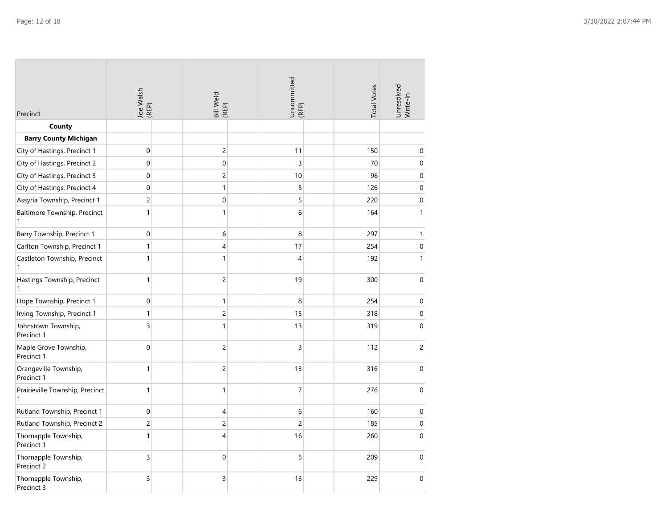| Precinct                             | Joe Walsh<br>(REP)  | Bill Weld<br>(REP) | Uncommitted<br>(REP) | <b>Total Votes</b> | Unresolved<br>Write-In |
|--------------------------------------|---------------------|--------------------|----------------------|--------------------|------------------------|
| County                               |                     |                    |                      |                    |                        |
| <b>Barry County Michigan</b>         |                     |                    |                      |                    |                        |
| City of Hastings, Precinct 1         | $\mathsf{O}\xspace$ | $\overline{c}$     | 11                   | 150                | 0                      |
| City of Hastings, Precinct 2         | 0                   | $\mathbf 0$        | 3                    | 70                 | $\pmb{0}$              |
| City of Hastings, Precinct 3         | 0                   | $\overline{c}$     | 10                   | 96                 | 0                      |
| City of Hastings, Precinct 4         | 0                   | $\mathbf{1}$       | 5                    | 126                | $\pmb{0}$              |
| Assyria Township, Precinct 1         | $\overline{c}$      | $\mathbf 0$        | 5                    | 220                | 0                      |
| Baltimore Township, Precinct<br>1    | $\mathbf{1}$        | $\mathbf{1}$       | 6                    | 164                | $\mathbf{1}$           |
| Barry Township, Precinct 1           | 0                   | 6                  | 8                    | 297                | $\mathbf{1}$           |
| Carlton Township, Precinct 1         | $\mathbf{1}$        | $\overline{4}$     | 17                   | 254                | $\mathbf 0$            |
| Castleton Township, Precinct<br>1    | $\mathbf{1}$        | $\mathbf{1}$       | 4                    | 192                | $\mathbf{1}$           |
| Hastings Township, Precinct<br>1     | $\mathbf{1}$        | $\overline{c}$     | 19                   | 300                | $\mathbf 0$            |
| Hope Township, Precinct 1            | 0                   | $\mathbf{1}$       | 8                    | 254                | $\boldsymbol{0}$       |
| Irving Township, Precinct 1          | $\mathbf{1}$        | $\overline{c}$     | 15                   | 318                | $\mathbf 0$            |
| Johnstown Township,<br>Precinct 1    | 3                   | $\mathbf{1}$       | 13                   | 319                | $\mathbf 0$            |
| Maple Grove Township,<br>Precinct 1  | 0                   | $\overline{c}$     | 3                    | 112                | $\overline{c}$         |
| Orangeville Township,<br>Precinct 1  | $\mathbf{1}$        | $\overline{c}$     | 13                   | 316                | $\boldsymbol{0}$       |
| Prairieville Township, Precinct<br>1 | $\mathbf{1}$        | $\mathbf{1}$       | $\overline{7}$       | 276                | $\boldsymbol{0}$       |
| Rutland Township, Precinct 1         | 0                   | $\overline{4}$     | 6                    | 160                | $\boldsymbol{0}$       |
| Rutland Township, Precinct 2         | $\overline{c}$      | $\overline{c}$     | $\overline{c}$       | 185                | $\pmb{0}$              |
| Thornapple Township,<br>Precinct 1   | $\mathbf{1}$        | $\overline{4}$     | 16                   | 260                | $\mathbf 0$            |
| Thornapple Township,<br>Precinct 2   | 3                   | $\mathbf 0$        | 5                    | 209                | $\mathbf{0}$           |
| Thornapple Township,<br>Precinct 3   | 3                   | 3                  | 13                   | 229                | $\mathbf 0$            |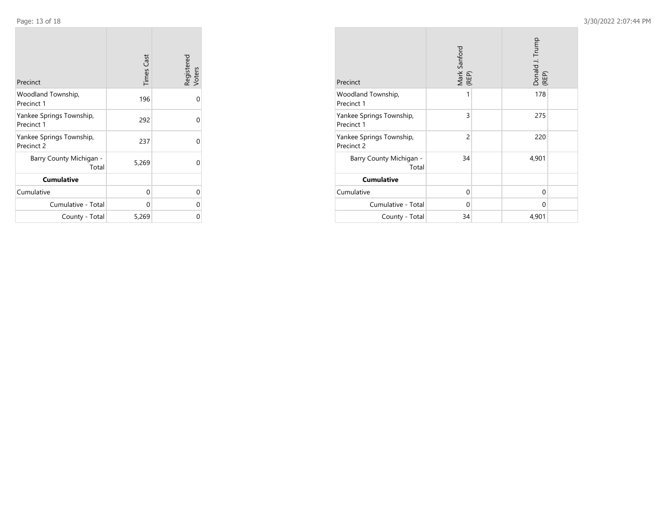**COL** 

 $\sim$ 

| Precinct                               | <b>Times Cast</b> | Registered<br>Voters |
|----------------------------------------|-------------------|----------------------|
| Woodland Township,<br>Precinct 1       | 196               | 0                    |
| Yankee Springs Township,<br>Precinct 1 | 292               | 0                    |
| Yankee Springs Township,<br>Precinct 2 | 237               | 0                    |
| Barry County Michigan -<br>Total       | 5,269             | $\Omega$             |
| <b>Cumulative</b>                      |                   |                      |
| Cumulative                             | 0                 | 0                    |
| Cumulative - Total                     | U                 | 0                    |
| County - Total                         | 5,269             | 0                    |

**COLLECT** 

| Precinct                               | Mark Sanford<br>(REP) |  | Donald J. Trump<br>(REP) |  |
|----------------------------------------|-----------------------|--|--------------------------|--|
| Woodland Township,<br>Precinct 1       | 1                     |  | 178                      |  |
| Yankee Springs Township,<br>Precinct 1 | 3                     |  | 275                      |  |
| Yankee Springs Township,<br>Precinct 2 | $\overline{2}$        |  | 220                      |  |
| Barry County Michigan -<br>Total       | 34                    |  | 4,901                    |  |
| <b>Cumulative</b>                      |                       |  |                          |  |
| Cumulative                             | $\Omega$              |  | 0                        |  |
| Cumulative - Total                     | 0                     |  | 0                        |  |
| County - Total                         | 34                    |  | 4,901                    |  |

 $\sim$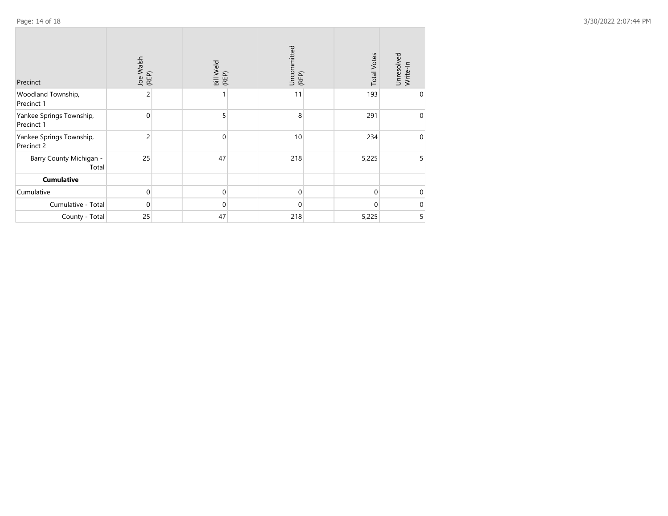| Precinct                               | Joe Walsh<br>(REP) | Bill Weld<br>(REP) | Uncommitted<br>(REP) | <b>Total Votes</b> | Unresolved<br>Write-In |
|----------------------------------------|--------------------|--------------------|----------------------|--------------------|------------------------|
| Woodland Township,<br>Precinct 1       | 2                  |                    | 11                   | 193                | 0                      |
| Yankee Springs Township,<br>Precinct 1 | $\Omega$           | 5                  | 8                    | 291                | $\Omega$               |
| Yankee Springs Township,<br>Precinct 2 | 2                  | $\mathbf 0$        | 10                   | 234                | $\Omega$               |
| Barry County Michigan -<br>Total       | 25                 | 47                 | 218                  | 5,225              | 5                      |
| <b>Cumulative</b>                      |                    |                    |                      |                    |                        |
| Cumulative                             | 0                  | $\Omega$           | 0                    | 0                  | 0                      |
| Cumulative - Total                     | $\Omega$           | $\Omega$           | $\Omega$             | 0                  | $\Omega$               |
| County - Total                         | 25                 | 47                 | 218                  | 5,225              | 5                      |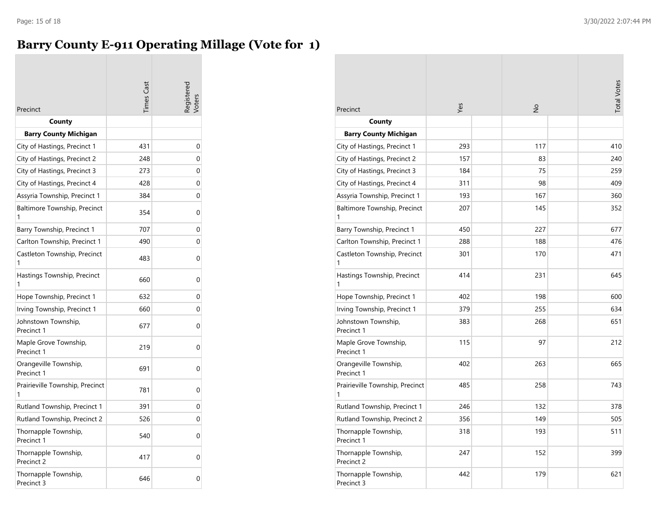## **Barry County E-911 Operating Millage (Vote for 1)**

|                                      | imes Cast | egistere |
|--------------------------------------|-----------|----------|
| Precinct                             |           |          |
| County                               |           |          |
| <b>Barry County Michigan</b>         |           |          |
| City of Hastings, Precinct 1         | 431       | 0        |
| City of Hastings, Precinct 2         | 248       | 0        |
| City of Hastings, Precinct 3         | 273       | 0        |
| City of Hastings, Precinct 4         | 428       | 0        |
| Assyria Township, Precinct 1         | 384       | 0        |
| Baltimore Township, Precinct<br>1    | 354       | 0        |
| Barry Township, Precinct 1           | 707       | 0        |
| Carlton Township, Precinct 1         | 490       | 0        |
| Castleton Township, Precinct         | 483       | 0        |
| Hastings Township, Precinct          | 660       | 0        |
| Hope Township, Precinct 1            | 632       | 0        |
| Irving Township, Precinct 1          | 660       | 0        |
| Johnstown Township,<br>Precinct 1    | 677       | 0        |
| Maple Grove Township,<br>Precinct 1  | 219       | 0        |
| Orangeville Township,<br>Precinct 1  | 691       | 0        |
| Prairieville Township, Precinct<br>1 | 781       | 0        |
| Rutland Township, Precinct 1         | 391       | 0        |
| Rutland Township, Precinct 2         | 526       | 0        |
| Thornapple Township,<br>Precinct 1   | 540       | 0        |
| Thornapple Township,<br>Precinct 2   | 417       | 0        |
| Thornapple Township,<br>Precinct 3   | 646       | 0        |

| Precinct                             | Yes | $\frac{1}{2}$ | <b>Total Votes</b> |
|--------------------------------------|-----|---------------|--------------------|
| County                               |     |               |                    |
| <b>Barry County Michigan</b>         |     |               |                    |
| City of Hastings, Precinct 1         | 293 | 117           | 410                |
| City of Hastings, Precinct 2         | 157 | 83            | 240                |
| City of Hastings, Precinct 3         | 184 | 75            | 259                |
| City of Hastings, Precinct 4         | 311 | 98            | 409                |
| Assyria Township, Precinct 1         | 193 | 167           | 360                |
| Baltimore Township, Precinct<br>1    | 207 | 145           | 352                |
| Barry Township, Precinct 1           | 450 | 227           | 677                |
| Carlton Township, Precinct 1         | 288 | 188           | 476                |
| Castleton Township, Precinct<br>1    | 301 | 170           | 471                |
| Hastings Township, Precinct<br>1     | 414 | 231           | 645                |
| Hope Township, Precinct 1            | 402 | 198           | 600                |
| Irving Township, Precinct 1          | 379 | 255           | 634                |
| Johnstown Township,<br>Precinct 1    | 383 | 268           | 651                |
| Maple Grove Township,<br>Precinct 1  | 115 | 97            | 212                |
| Orangeville Township,<br>Precinct 1  | 402 | 263           | 665                |
| Prairieville Township, Precinct<br>1 | 485 | 258           | 743                |
| Rutland Township, Precinct 1         | 246 | 132           | 378                |
| Rutland Township, Precinct 2         | 356 | 149           | 505                |
| Thornapple Township,<br>Precinct 1   | 318 | 193           | 511                |
| Thornapple Township,<br>Precinct 2   | 247 | 152           | 399                |
| Thornapple Township,<br>Precinct 3   | 442 | 179           | 621                |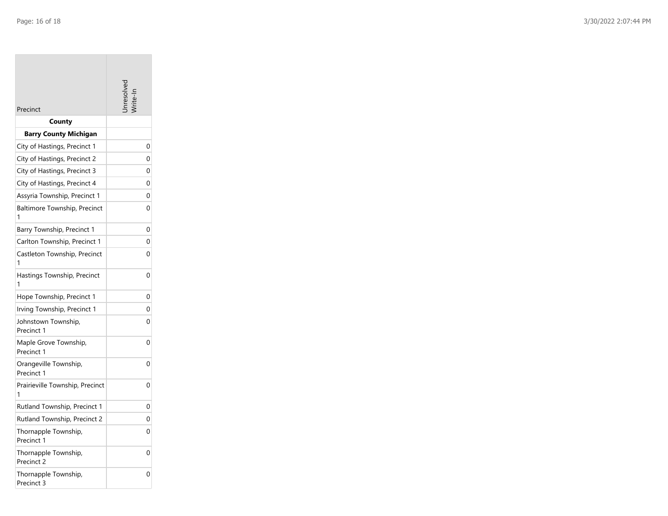**COL** 

| Precinct                             |   |
|--------------------------------------|---|
| County                               |   |
| <b>Barry County Michigan</b>         |   |
| City of Hastings, Precinct 1         | 0 |
| City of Hastings, Precinct 2         | 0 |
| City of Hastings, Precinct 3         | 0 |
| City of Hastings, Precinct 4         | 0 |
| Assyria Township, Precinct 1         | 0 |
| Baltimore Township, Precinct<br>1    | 0 |
| Barry Township, Precinct 1           | 0 |
| Carlton Township, Precinct 1         | 0 |
| Castleton Township, Precinct<br>1    | 0 |
| Hastings Township, Precinct<br>1     | 0 |
| Hope Township, Precinct 1            | 0 |
| Irving Township, Precinct 1          | 0 |
| Johnstown Township,<br>Precinct 1    | 0 |
| Maple Grove Township,<br>Precinct 1  | 0 |
| Orangeville Township,<br>Precinct 1  | 0 |
| Prairieville Township, Precinct<br>1 | 0 |
| Rutland Township, Precinct 1         | 0 |
| Rutland Township, Precinct 2         | 0 |
| Thornapple Township,<br>Precinct 1   | 0 |
| Thornapple Township,<br>Precinct 2   | 0 |
| Thornapple Township,<br>Precinct 3   | 0 |

the property of the

m.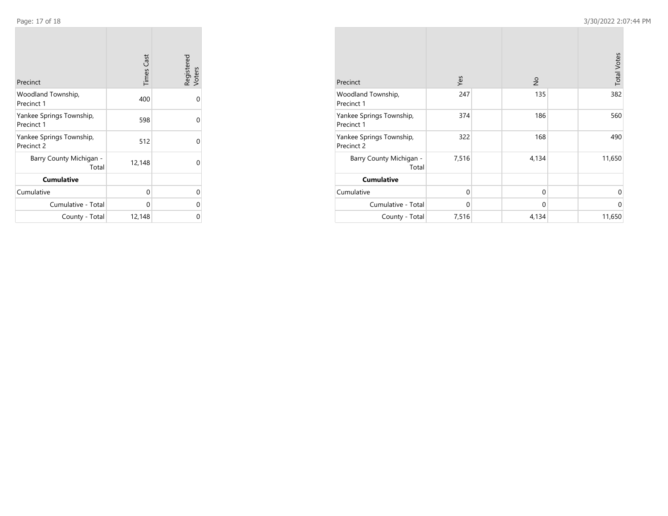**College** 

| Precinct                               | <b>Times Cast</b> | Registered<br>Voters |
|----------------------------------------|-------------------|----------------------|
| Woodland Township,<br>Precinct 1       | 400               | $\Omega$             |
| Yankee Springs Township,<br>Precinct 1 | 598               | 0                    |
| Yankee Springs Township,<br>Precinct 2 | 512               | 0                    |
| Barry County Michigan -<br>Total       | 12,148            | 0                    |
| <b>Cumulative</b>                      |                   |                      |
| Cumulative                             | 0                 | 0                    |
| Cumulative - Total                     | 0                 | 0                    |
| County - Total                         | 12,148            | 0                    |

| Precinct                               | Yes      | $\frac{1}{2}$ | <b>Total Votes</b> |
|----------------------------------------|----------|---------------|--------------------|
| Woodland Township,<br>Precinct 1       | 247      | 135           | 382                |
| Yankee Springs Township,<br>Precinct 1 | 374      | 186           | 560                |
| Yankee Springs Township,<br>Precinct 2 | 322      | 168           | 490                |
| Barry County Michigan -<br>Total       | 7,516    | 4,134         | 11,650             |
| <b>Cumulative</b>                      |          |               |                    |
| Cumulative                             | $\Omega$ | $\mathbf 0$   | $\Omega$           |
| Cumulative - Total                     | $\Omega$ | 0             | $\Omega$           |
| County - Total                         | 7,516    | 4,134         | 11,650             |